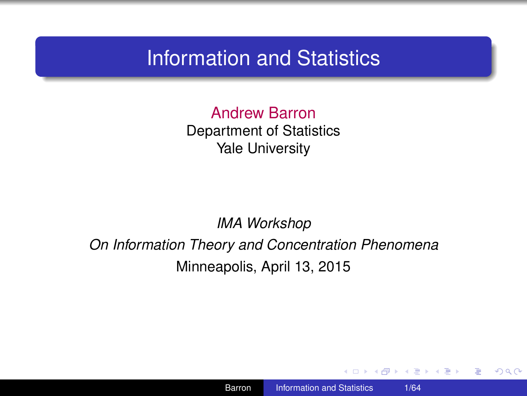### Information and Statistics

Andrew Barron Department of Statistics Yale University

*IMA Workshop*

*On Information Theory and Concentration Phenomena* Minneapolis, April 13, 2015

4 0 8

<span id="page-0-0"></span> $\langle \langle \langle \langle \rangle \rangle \rangle \rangle$  and  $\langle \langle \rangle \rangle$  and  $\langle \rangle$  and  $\langle \rangle$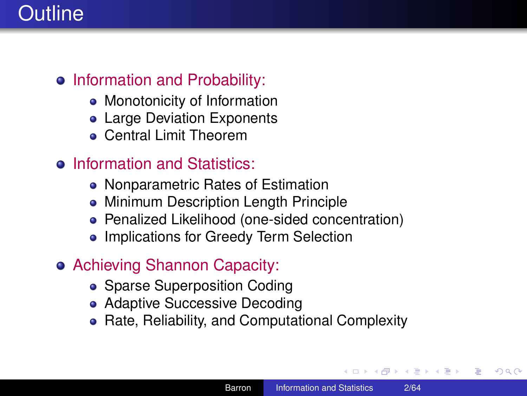# **Outline**

#### • Information and Probability:

- Monotonicity of Information
- Large Deviation Exponents
- Central Limit Theorem

### **•** Information and Statistics:

- Nonparametric Rates of Estimation
- Minimum Description Length Principle
- Penalized Likelihood (one-sided concentration)
- Implications for Greedy Term Selection

### Achieving Shannon Capacity:

- Sparse Superposition Coding
- Adaptive Successive Decoding
- Rate, Reliability, and Computational Complexity

 $\left\{ \bigoplus_k k \right\} \in \mathbb{R}$  is a defined of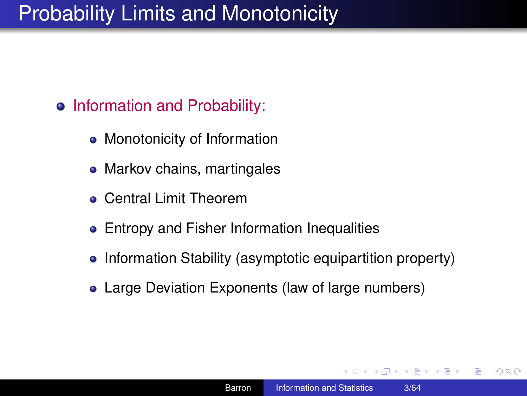# Probability Limits and Monotonicity

- Information and Probability:
	- Monotonicity of Information
	- Markov chains, martingales
	- Central Limit Theorem
	- Entropy and Fisher Information Inequalities
	- Information Stability (asymptotic equipartition property)
	- Large Deviation Exponents (law of large numbers)

K 何 ▶ K ヨ ▶ K ヨ ▶ ...

÷.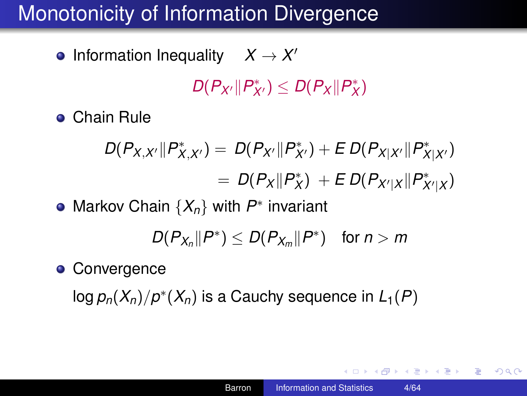Information Inequality  $X \to X'$ 

 $D(P_{X'} \| P^*_{X'}) \leq D(P_X \| P^*_X)$ 

Chain Rule

$$
D(P_{X,X'}||P_{X,X'}^*) = D(P_{X'}||P_{X'}^*) + E D(P_{X|X'}||P_{X|X'}^*)
$$
  
= 
$$
D(P_X||P_X^*) + E D(P_{X'|X}||P_{X'|X}^*)
$$

Markov Chain {*Xn*} with *P* ∗ invariant

$$
D(P_{X_n}||P^*)\leq D(P_{X_m}||P^*) \quad \text{for } n>m
$$

**• Convergence** 

 $\log p_n(X_n)/p^*(X_n)$  is a Cauchy sequence in  $L_1(P)$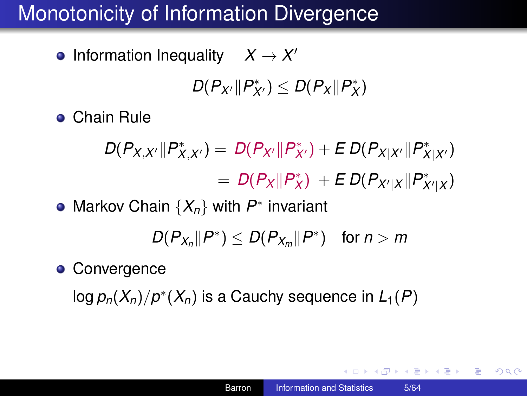Information Inequality  $X \to X'$ 

$$
D(P_{X'} \| P_{X'}^*) \leq D(P_X \| P_X^*)
$$

Chain Rule

 $D(P_{X,X'} \| P_{X,X'}^*) = D(P_{X'} \| P_{X'}^*) + E D(P_{X|X'} \| P_{X|X'}^*)$  $= D(P_X || P_X^*) + E D(P_{X'|X} || P_{X'|X}^*)$ 

Markov Chain {*Xn*} with *P* ∗ invariant

$$
D(P_{X_n}||P^*)\leq D(P_{X_m}||P^*) \quad \text{for } n>m
$$

**• Convergence** 

 $\log p_n(X_n)/p^*(X_n)$  is a Cauchy sequence in  $L_1(P)$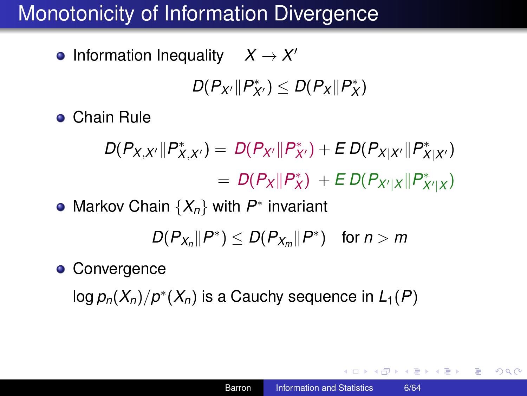Information Inequality  $X \to X'$ 

$$
D(P_{X'} \| P_{X'}^*) \leq D(P_X \| P_X^*)
$$

Chain Rule

 $D(P_{X,X'} \| P_{X,X'}^*) = D(P_{X'} \| P_{X'}^*) + E D(P_{X|X'} \| P_{X|X'}^*)$  $= D(P_X || P_X^*) + E D(P_{X'|X} || P_{X'|X}^*)$ 

Markov Chain {*Xn*} with *P* ∗ invariant

$$
D(P_{X_n}||P^*)\leq D(P_{X_m}||P^*) \quad \text{for } n>m
$$

**• Convergence** 

 $\log p_n(X_n)/p^*(X_n)$  is a Cauchy sequence in  $L_1(P)$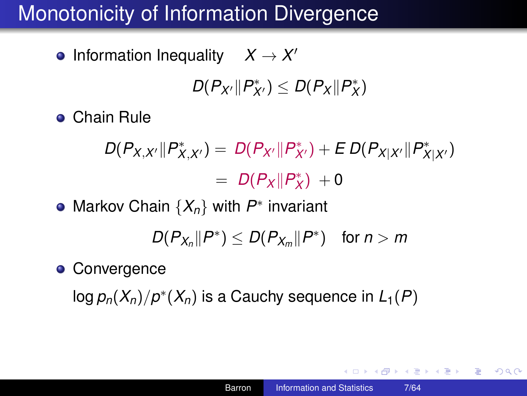Information Inequality  $X \to X'$ 

$$
D(P_{X'} \| P_{X'}^*) \leq D(P_X \| P_X^*)
$$

Chain Rule

 $D(P_{X,X'} \| P_{X,X'}^*) = D(P_{X'} \| P_{X'}^*) + E D(P_{X|X'} \| P_{X|X'}^*)$  $= D(P_X || P_X^*) + 0$ 

Markov Chain {*Xn*} with *P* ∗ invariant

$$
D(P_{X_n}||P^*)\leq D(P_{X_m}||P^*) \quad \text{for } n>m
$$

**• Convergence** 

 $\log p_n(X_n)/p^*(X_n)$  is a Cauchy sequence in  $L_1(P)$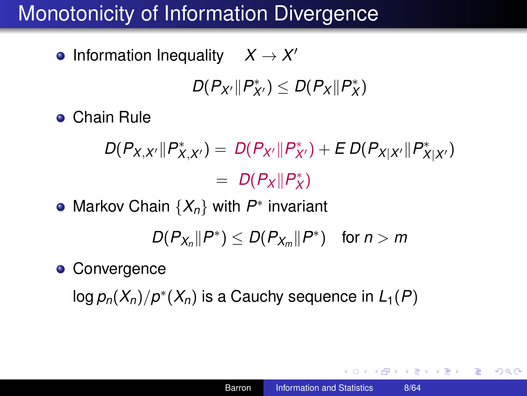Information Inequality  $X \to X'$ 

$$
D(P_{X'} \| P_{X'}^*) \leq D(P_X \| P_X^*)
$$

Chain Rule

 $D(P_{X,X'} \| P_{X,X'}^*) = D(P_{X'} \| P_{X'}^*) + E D(P_{X|X'} \| P_{X|X'}^*)$  $= D(P_X||P_X^*)$ 

Markov Chain {*Xn*} with *P* ∗ invariant

$$
D(P_{X_n}||P^*) \leq D(P_{X_m}||P^*) \quad \text{for } n > m
$$

**• Convergence** 

 $\log p_n(X_n)/p^*(X_n)$  is a Cauchy sequence in  $L_1(P)$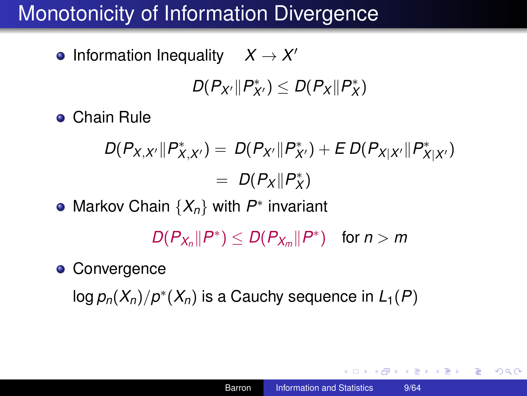Information Inequality  $X \to X'$ 

$$
D(P_{X'} \| P_{X'}^*) \leq D(P_X \| P_X^*)
$$

Chain Rule

$$
D(P_{X,X'}||P_{X,X'}^*) = D(P_{X'}||P_{X'}^*) + E D(P_{X|X'}||P_{X|X'}^*)
$$
  
= 
$$
D(P_X||P_X^*)
$$

Markov Chain {*Xn*} with *P* ∗ invariant

 $D(P_{X_n} \| P^*) \leq D(P_{X_m} \| P^*)$  for  $n > m$ 

**• Convergence** 

 $\log p_n(X_n)/p^*(X_n)$  is a Cauchy sequence in  $L_1(P)$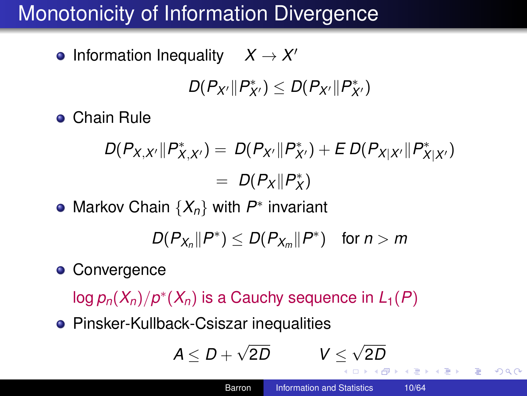Information Inequality  $X \to X'$ 

$$
D(P_{X'}\|P^*_{X'})\leq D(P_{X'}\|P^*_{X'})
$$

Chain Rule

$$
D(P_{X,X'}||P_{X,X'}^*) = D(P_{X'}||P_{X'}^*) + E D(P_{X|X'}||P_{X|X'}^*)
$$
  
= 
$$
D(P_X||P_X^*)
$$

Markov Chain {*Xn*} with *P* ∗ invariant

$$
D(P_{X_n}||P^*) \leq D(P_{X_m}||P^*) \quad \text{for } n > m
$$

**• Convergence** 

 $\log p_n(X_n)/p^*(X_n)$  is a Cauchy sequence in  $L_1(P)$ 

**• Pinsker-Kullback-Csiszar inequalities** 

$$
A \leq D + \sqrt{2D} \qquad \qquad V \leq \sqrt{2D}
$$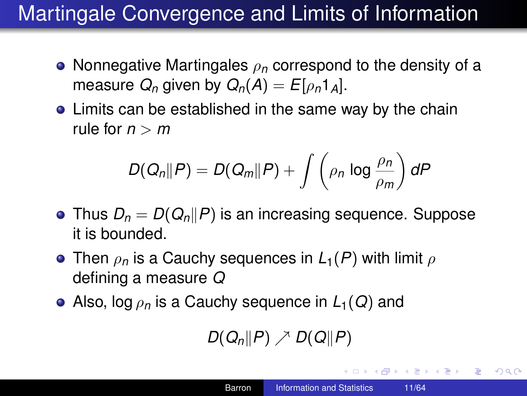# Martingale Convergence and Limits of Information

- Nonnegative Martingales ρ*<sup>n</sup>* correspond to the density of a measure  $Q_n$  given by  $Q_n(A) = E[\rho_n 1_A]$ .
- Limits can be established in the same way by the chain rule for  $n > m$

$$
D(Q_n||P) = D(Q_m||P) + \int \left(\rho_n \log \frac{\rho_n}{\rho_m}\right) dP
$$

- Thus  $D_n = D(Q_n||P)$  is an increasing sequence. Suppose it is bounded.
- **o** Then  $\rho_n$  is a Cauchy sequences in  $L_1(P)$  with limit  $\rho$ defining a measure *Q*
- Also, log ρ*<sup>n</sup>* is a Cauchy sequence in *L*1(*Q*) and

 $D(Q_n||P) \nearrow D(Q||P)$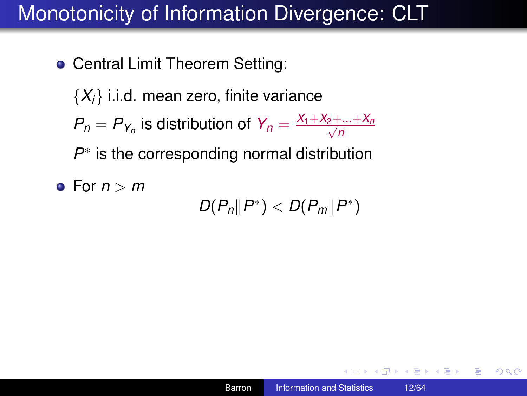• Central Limit Theorem Setting:

 $\{X_i\}$  i.i.d. mean zero, finite variance

 $P_n = P_{Y_n}$  is distribution of  $Y_n = \frac{X_1 + X_2 + ... + X_n}{\sqrt{n}}$ *n*

P<sup>∗</sup> is the corresponding normal distribution

 $\bullet$  For  $n > m$ 

 $D(P_n \| P^*) < D(P_m \| P^*)$ 

イロト イ伊 トイヨ トイヨ トー

 $E = \Omega Q$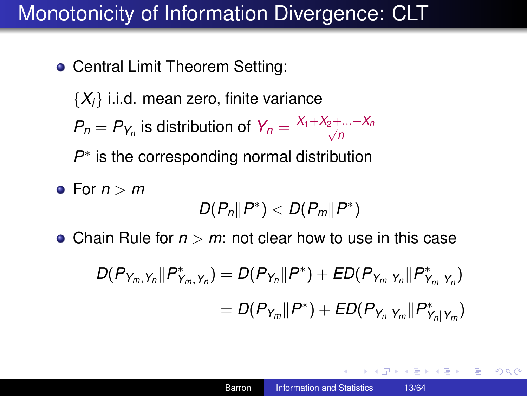- Central Limit Theorem Setting:
	- ${X_i}$  i.i.d. mean zero, finite variance
	- $P_n = P_{Y_n}$  is distribution of  $Y_n = \frac{X_1 + X_2 + ... + X_n}{\sqrt{n}}$ *n*

P<sup>∗</sup> is the corresponding normal distribution

**e** For  $n > m$ 

$$
D(P_n||P^*)
$$

Chain Rule for *n* > *m*: not clear how to use in this case

$$
D(P_{Y_m,Y_n}||P_{Y_m,Y_n}^*) = D(P_{Y_n}||P^*) + ED(P_{Y_m|Y_n}||P_{Y_m|Y_n}^*)
$$
  
= 
$$
D(P_{Y_m}||P^*) + ED(P_{Y_n|Y_m}||P_{Y_n|Y_m}^*)
$$

**K ロ ▶ K 何 ▶ K ヨ ▶ K ヨ ▶**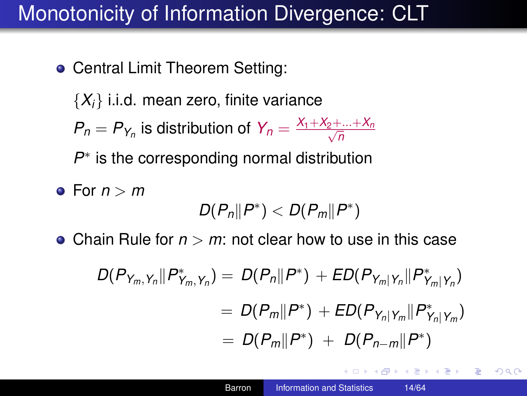- Central Limit Theorem Setting:
	- $\{X_i\}$  i.i.d. mean zero, finite variance
	- $P_n = P_{Y_n}$  is distribution of  $Y_n = \frac{X_1 + X_2 + ... + X_n}{\sqrt{n}}$ *n*

P<sup>∗</sup> is the corresponding normal distribution

 $\bullet$  For  $n > m$ 

$$
D(P_n||P^*)
$$

• Chain Rule for  $n > m$ : not clear how to use in this case

$$
D(P_{Y_m,Y_n}||P_{Y_m,Y_n}^*) = D(P_n||P^*) + ED(P_{Y_m|Y_n}||P_{Y_m|Y_n}^*)
$$
  
= 
$$
D(P_m||P^*) + ED(P_{Y_n|Y_m}||P_{Y_n|Y_m}^*)
$$
  
= 
$$
D(P_m||P^*) + D(P_{n-m}||P^*)
$$

 $\left\{ \left\vert \left\{ \mathbf{P}\right\} \right\vert \times \left\{ \left\vert \mathbf{P}\right\vert \right\} \right\}$  and  $\left\{ \left\vert \mathbf{P}\right\vert \right\}$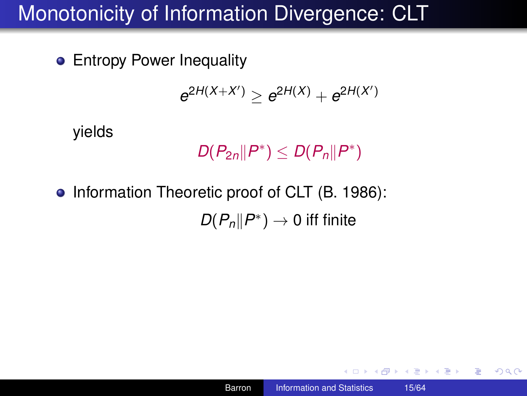**• Entropy Power Inequality** 

$$
e^{2H(X+X')} \ge e^{2H(X)} + e^{2H(X')}
$$

yields

 $D(P_{2n} \| P^*) \leq D(P_n \| P^*)$ 

• Information Theoretic proof of CLT (B. 1986):  $D(P_n \| P^*) \to 0$  iff finite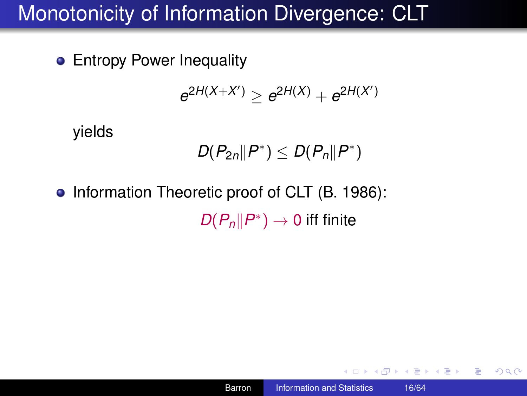**• Entropy Power Inequality** 

$$
e^{2H(X+X')} \ge e^{2H(X)} + e^{2H(X')}
$$

yields

$$
D(P_{2n}||P^*)\leq D(P_n||P^*)
$$

• Information Theoretic proof of CLT (B. 1986):  $D(P_n \| P^*) \to 0$  iff finite

イロト イ伊 トイヨ トイヨ トー

 $\equiv$  990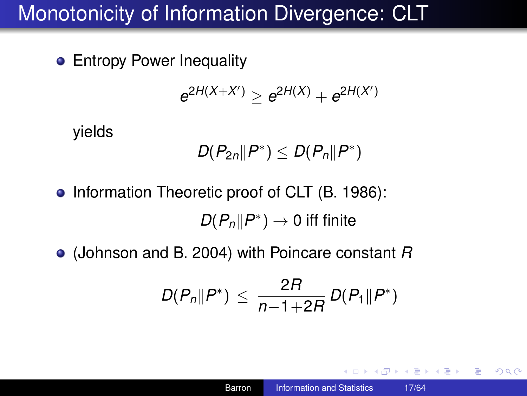**• Entropy Power Inequality** 

$$
e^{2H(X+X')} \ge e^{2H(X)} + e^{2H(X')}
$$

yields

$$
D(P_{2n}||P^*)\leq D(P_n||P^*)
$$

- Information Theoretic proof of CLT (B. 1986):  $D(P_n||P^*) \to 0$  iff finite
- (Johnson and B. 2004) with Poincare constant *R*

$$
D(P_n \| P^*) \leq \frac{2R}{n-1+2R} D(P_1 \| P^*)
$$

**K ロ ▶ K 何 ▶ K ヨ ▶ K ヨ ▶** 

 $E = \Omega Q$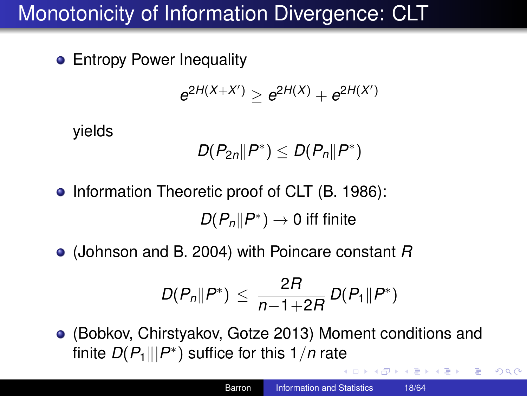**•** Entropy Power Inequality

$$
e^{2H(X+X')} \ge e^{2H(X)} + e^{2H(X')}
$$

yields

$$
D(P_{2n}||P^*)\leq D(P_n||P^*)
$$

• Information Theoretic proof of CLT (B. 1986):

 $D(P_n||P^*) \to 0$  iff finite

(Johnson and B. 2004) with Poincare constant *R*

$$
D(P_n \| P^*) \leq \frac{2R}{n-1+2R} D(P_1 \| P^*)
$$

(Bobkov, Chirstyakov, Gotze 2013) Moment conditions and finite  $D(P_1 || | P^* )$  suffice for this 1/*n* rate

イロト イ団ト イヨト イヨト

÷.

 $2990$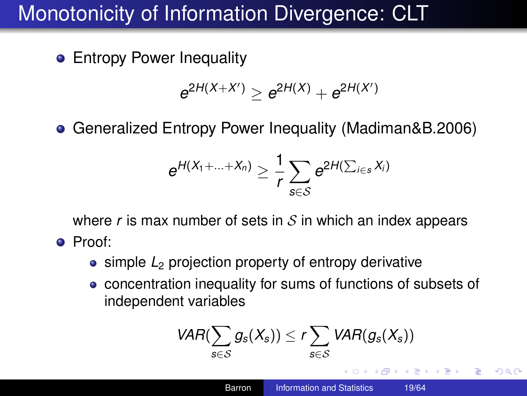**•** Entropy Power Inequality

$$
e^{2H(X+X')} \ge e^{2H(X)} + e^{2H(X')}
$$

Generalized Entropy Power Inequality (Madiman&B.2006)

$$
e^{H(X_1+\ldots+X_n)}\geq \frac{1}{r}\sum_{s\in\mathcal{S}}e^{2H(\sum_{i\in s}X_i)}
$$

where  $r$  is max number of sets in  $S$  in which an index appears Proof:

- simple *L*<sub>2</sub> projection property of entropy derivative
- concentration inequality for sums of functions of subsets of independent variables

$$
VAR(\sum_{S \in S} g_S(X_S)) \leq r \sum_{S \in S} VAR(g_S(X_S))
$$
  
Baron Information and Statistics 1964

 $\Omega$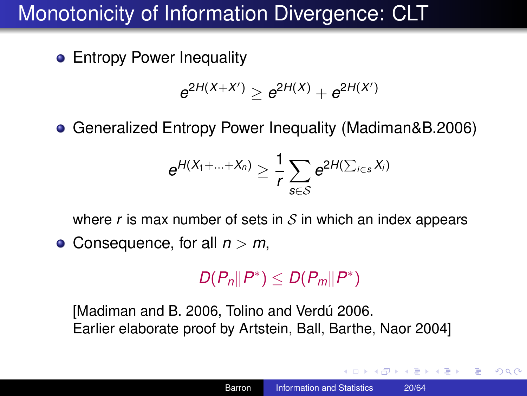**•** Entropy Power Inequality

$$
e^{2H(X+X')} \ge e^{2H(X)} + e^{2H(X')}
$$

Generalized Entropy Power Inequality (Madiman&B.2006)

$$
e^{H(X_1+\ldots+X_n)}\geq \frac{1}{r}\sum_{s\in\mathcal{S}}e^{2H(\sum_{i\in s}X_i)}
$$

where  $r$  is max number of sets in  $S$  in which an index appears

● Consequence, for all *n* > *m*,

$$
D(P_n||P^*)\leq D(P_m||P^*)
$$

[Madiman and B. 2006, Tolino and Verdú 2006. Earlier elaborate proof by Artstein, Ball, Barthe, Naor 2004]

**K ロ ト K 何 ト K ヨ ト K ヨ ト**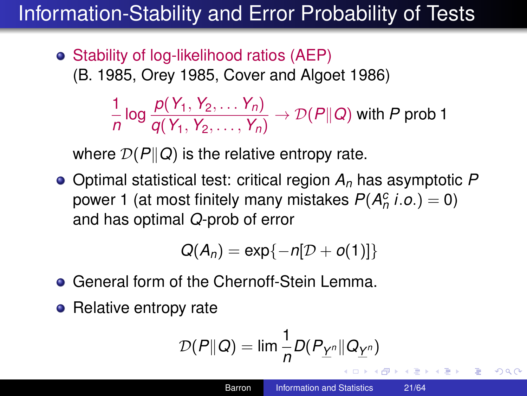# Information-Stability and Error Probability of Tests

• Stability of log-likelihood ratios (AEP) (B. 1985, Orey 1985, Cover and Algoet 1986)

> 1 *n* log *<sup>p</sup>*(*Y*1, *<sup>Y</sup>*2, . . . *<sup>Y</sup>n*)  $\frac{P(Y_1, Y_2, \ldots, Y_n)}{q(Y_1, Y_2, \ldots, Y_n)} \rightarrow \mathcal{D}(P||Q)$  with P prob 1

where  $\mathcal{D}(P||Q)$  is the relative entropy rate.

Optimal statistical test: critical region *A<sup>n</sup>* has asymptotic *P* power 1 (at most finitely many mistakes  $P(A_n^c | i.o.) = 0)$ and has optimal *Q*-prob of error

$$
Q(A_n)=\exp\{-n[D+o(1)]\}
$$

- **General form of the Chernoff-Stein Lemma.**
- Relative entropy rate

$$
\mathcal{D}(P\|Q) = \lim_{n \to \infty} \frac{1}{n} D(P_{\underline{Y}^n} \| Q_{\underline{Y}^n})
$$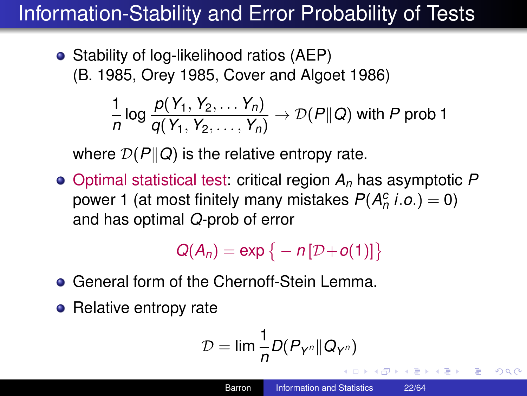# Information-Stability and Error Probability of Tests

• Stability of log-likelihood ratios (AEP) (B. 1985, Orey 1985, Cover and Algoet 1986)

$$
\frac{1}{n}\log\frac{p(Y_1, Y_2, \ldots, Y_n)}{q(Y_1, Y_2, \ldots, Y_n)} \to \mathcal{D}(P\|Q)
$$
 with P prob 1

where  $\mathcal{D}(P||Q)$  is the relative entropy rate.

Optimal statistical test: critical region *A<sup>n</sup>* has asymptotic *P* power 1 (at most finitely many mistakes  $P(A_n^c | i.o.) = 0)$ and has optimal *Q*-prob of error

$$
Q(A_n)=\exp\big\{-n[D+o(1)]\big\}
$$

- **General form of the Chernoff-Stein Lemma.**
- Relative entropy rate

<span id="page-21-0"></span>
$$
\mathcal{D}=\lim \frac{1}{n}D(P_{\underline{Y}^n}||Q_{\underline{Y}^n})
$$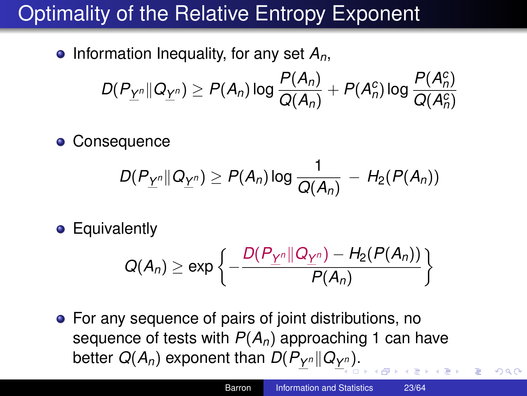# Optimality of the Relative Entropy Exponent

 $\bullet$  Information Inequality, for any set  $A_n$ ,

$$
D(P_{\underline{Y}^n}||Q_{\underline{Y}^n}) \ge P(A_n) \log \frac{P(A_n)}{Q(A_n)} + P(A_n^c) \log \frac{P(A_n^c)}{Q(A_n^c)}
$$

**• Consequence** 

$$
D(P_{\underline{Y}^n}||Q_{\underline{Y}^n}) \geq P(A_n) \log \frac{1}{Q(A_n)} - H_2(P(A_n))
$$

**•** Equivalently

$$
Q(A_n) \geq \exp\left\{-\frac{D(P_{\underline{Y}^n}||Q_{\underline{Y}^n}) - H_2(P(A_n))}{P(A_n)}\right\}
$$

For any sequence of pairs of joint distributions, no sequence of tests with  $P(A_n)$  approaching 1 can have better  $Q(A_n)$  exponent than  $D(P_{\underline{Y}^n} \| Q_{\underline{Y}^n}).$  $D(P_{\underline{Y}^n} \| Q_{\underline{Y}^n}).$  $D(P_{\underline{Y}^n} \| Q_{\underline{Y}^n}).$  $D(P_{\underline{Y}^n} \| Q_{\underline{Y}^n}).$ 

 $290$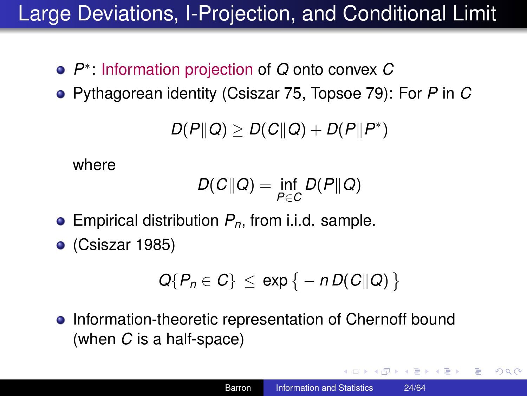# Large Deviations, I-Projection, and Conditional Limit

- *P* ∗ : Information projection of *Q* onto convex *C*
- Pythagorean identity (Csiszar 75, Topsoe 79): For *P* in *C*

$$
D(P\|Q) \geq D(C\|Q) + D(P\|P^*)
$$

where

$$
D(C||Q) = \inf_{P \in C} D(P||Q)
$$

- Empirical distribution *Pn*, from i.i.d. sample.
- (Csiszar 1985)

$$
Q\{P_n\in C\}\leq \exp\{-nD(C\|Q)\}
$$

• Information-theoretic representation of Chernoff bound (when *C* is a half-space)

<span id="page-23-0"></span>イロト イ押 トイヨ トイヨ トー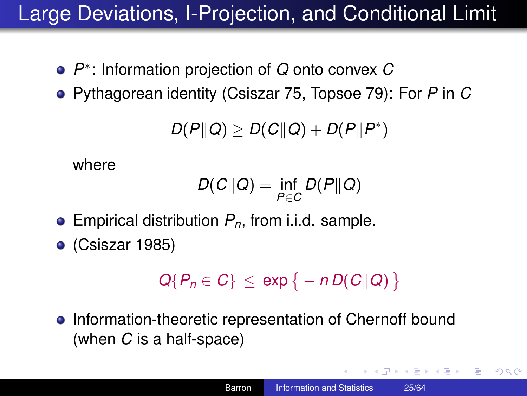# Large Deviations, I-Projection, and Conditional Limit

- *P* ∗ : Information projection of *Q* onto convex *C*
- Pythagorean identity (Csiszar 75, Topsoe 79): For *P* in *C*

$$
D(P\|Q) \geq D(C\|Q) + D(P\|P^*)
$$

where

$$
D(C||Q) = \inf_{P \in C} D(P||Q)
$$

- Empirical distribution *Pn*, from i.i.d. sample.
- (Csiszar 1985)

$$
Q\{P_n\in C\}\leq \exp\{-nD(C\|Q)\}
$$

• Information-theoretic representation of Chernoff bound (when *C* is a half-space)

イロト イ押 トイヨ トイヨ トー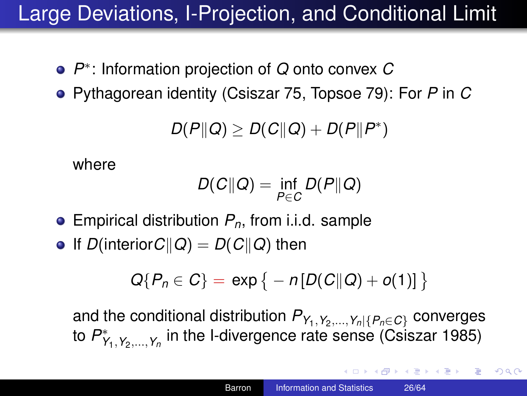# Large Deviations, I-Projection, and Conditional Limit

- *P* ∗ : Information projection of *Q* onto convex *C*
- Pythagorean identity (Csiszar 75, Topsoe 79): For *P* in *C*

$$
D(P\|Q) \geq D(C\|Q) + D(P\|P^*)
$$

where

$$
D(C||Q) = \inf_{P \in C} D(P||Q)
$$

- Empirical distribution *Pn*, from i.i.d. sample
- $\bullet$  If *D*(interior*C*||*Q*) = *D*(*C*||*Q*) then

$$
Q\{P_n \in C\} = \exp \{-n[D(C||Q) + o(1)]\}
$$

and the conditional distribution  $P_{Y_1, Y_2, ..., Y_n | \{P_n \in C\}}$  converges to  $P_{Y_1,Y_2,...,Y_n}^*$  in the I-divergence rate sense (Csiszar 1985)

**K ロ ▶ K 何 ▶ K ヨ ▶ K ヨ ▶**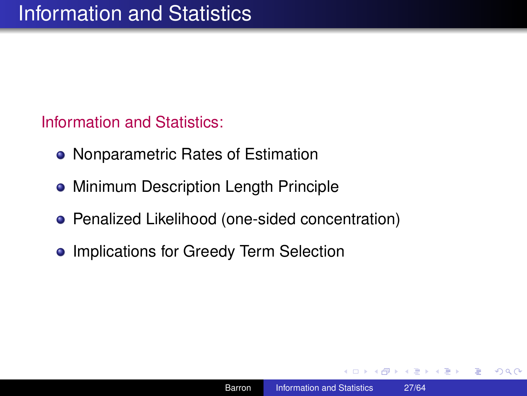Information and Statistics:

- Nonparametric Rates of Estimation
- **Minimum Description Length Principle**
- Penalized Likelihood (one-sided concentration)
- **Implications for Greedy Term Selection**

伊 ▶ 4 ヨ ▶ 4 ヨ ▶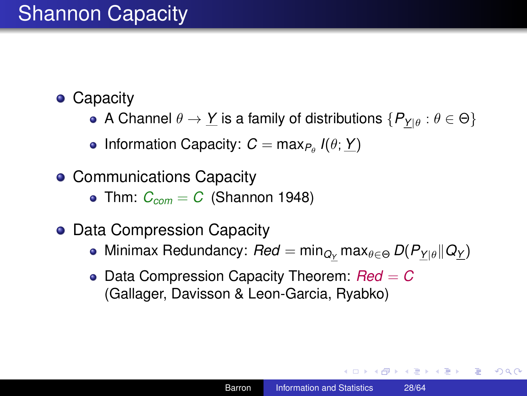# Shannon Capacity

- Capacity
	- A Channel  $\theta \to Y$  is a family of distributions  $\{P_{Y|\theta} : \theta \in \Theta\}$
	- Information Capacity:  $C = \max_{P_\theta} I(\theta; \underline{Y})$
- Communications Capacity
	- Thm:  $C_{com} = C$  (Shannon 1948)
- Data Compression Capacity
	- $\bullet$  Minimax Redundancy: *Red* = min<sub>Qγ</sub> max<sub>θ∈Θ</sub> *D*(*P*<sub>Ylθ</sub>||Q<sub>Y</sub>)
	- Data Compression Capacity Theorem:  $Red = C$ (Gallager, Davisson & Leon-Garcia, Ryabko)

KO KARA KE KAEK E YA GA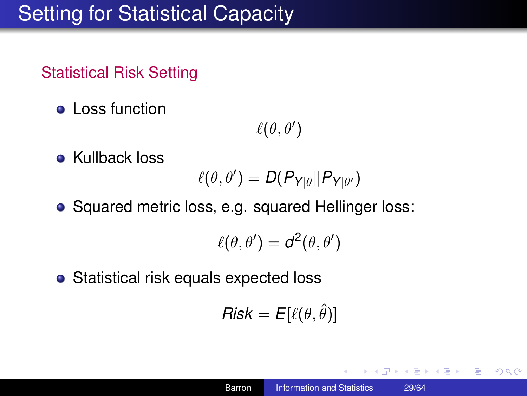### Statistical Risk Setting

**•** Loss function

 $\ell(\theta, \theta')$ 

• Kullback loss

$$
\ell(\theta,\theta')=D(P_{Y|\theta}\|P_{Y|\theta'})
$$

• Squared metric loss, e.g. squared Hellinger loss:

$$
\ell(\theta,\theta') = d^2(\theta,\theta')
$$

• Statistical risk equals expected loss

$$
\mathsf{Risk} = E[\ell(\theta, \hat{\theta})]
$$

K 何 ▶ K ヨ ▶ K ヨ ▶

B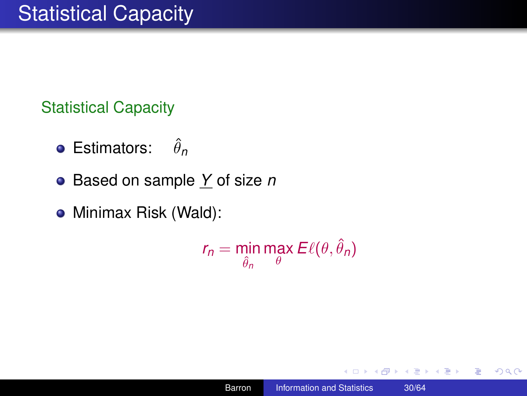Statistical Capacity

- **•** Estimators:  $\hat{\theta}_n$
- Based on sample *Y* of size *n*
- Minimax Risk (Wald):

$$
r_n = \min_{\hat{\theta}_n} \max_{\theta} E\ell(\theta, \hat{\theta}_n)
$$

す 御 メ ス 重 メ オ 重 メー

 $2990$ 

重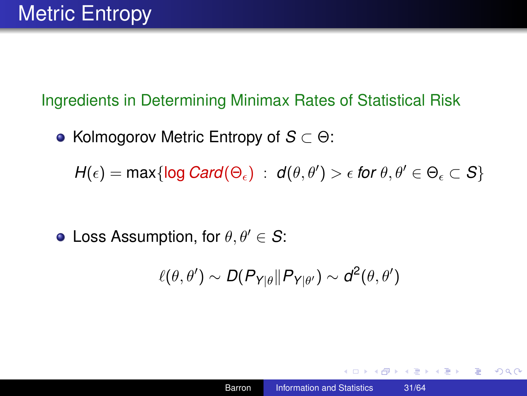#### Ingredients in Determining Minimax Rates of Statistical Risk

**• Kolmogorov Metric Entropy of** *S* ⊂ Θ:

 $H(\epsilon) = \max\{\log Card(\Theta_{\epsilon}) \ : \ d(\theta, \theta') > \epsilon \text{ for } \theta, \theta' \in \Theta_{\epsilon} \subset S\}$ 

• Loss Assumption, for  $\theta, \theta' \in S$ :

$$
\ell(\theta,\theta') \sim D(P_{Y|\theta} \| P_{Y|\theta'}) \sim d^2(\theta,\theta')
$$

イロト イ押 トイヨ トイヨ トー

ミー  $2Q$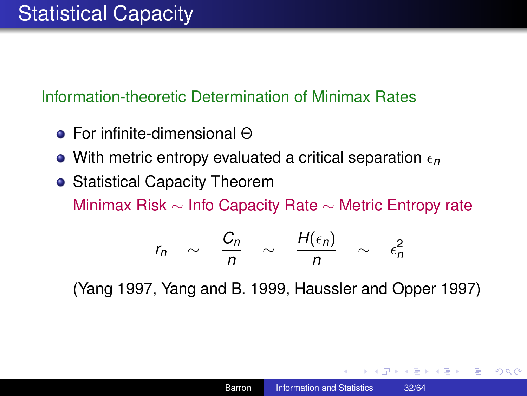#### Information-theoretic Determination of Minimax Rates

- For infinite-dimensional Θ
- With metric entropy evaluated a critical separation  $\epsilon_n$
- **Statistical Capacity Theorem** Minimax Risk ∼ Info Capacity Rate ∼ Metric Entropy rate

$$
r_n \sim \frac{C_n}{n} \sim \frac{H(\epsilon_n)}{n} \sim \epsilon_n^2
$$

(Yang 1997, Yang and B. 1999, Haussler and Opper 1997)

K 何 ▶ K ヨ ▶ K ヨ ▶ ...

э.  $\Omega$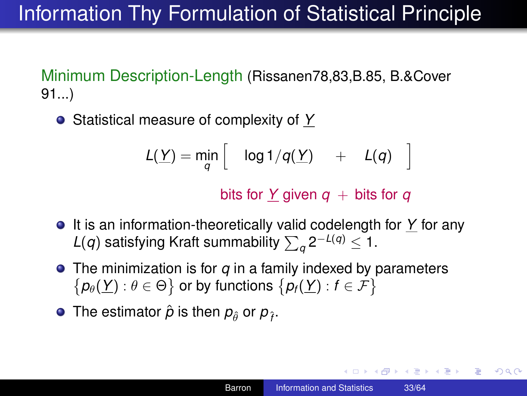# Information Thy Formulation of Statistical Principle

Minimum Description-Length (Rissanen78,83,B.85, B.&Cover 91...)

Statistical measure of complexity of *Y*

$$
L(\underline{Y}) = \min_{q} \left[ \quad \log 1/q(\underline{Y}) \quad + \quad L(q) \quad \right]
$$

bits for *Y* given  $q$  + bits for  $q$ 

- It is an information-theoretically valid codelength for *Y* for any *L*(*q*) satisfying Kraft summability  $\sum_{q} 2^{-L(q)} \leq 1$ .
- The minimization is for *q* in a family indexed by parameters  $\{p_{\theta}(\underline{Y}): \theta \in \Theta\}$  or by functions  $\{p_{f}(\underline{Y}): f \in \mathcal{F}\}$
- The estimator  $\hat{\rho}$  is then  $\rho_{\hat{\theta}}$  or  $\rho_{\hat{f}}$ .

KO KARA KE KAEK E YA GA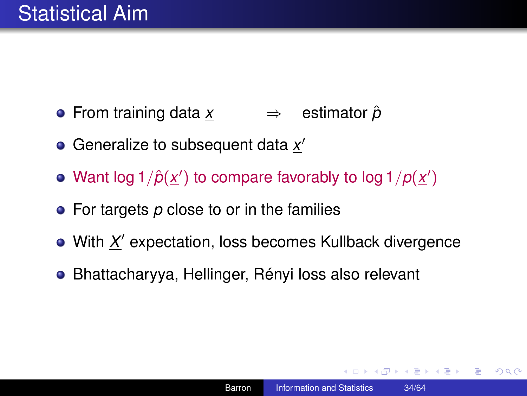- From training data *x* ⇒ estimator *p*ˆ
- Generalize to subsequent data x'
- Want log  $1/\hat{p}(\underline{x}')$  to compare favorably to log  $1/p(\underline{x}')$
- For targets p close to or in the families
- With X' expectation, loss becomes Kullback divergence
- Bhattacharyya, Hellinger, Rényi loss also relevant

K 何 ▶ K ヨ ▶ K ヨ ▶ ...

ミー  $2Q$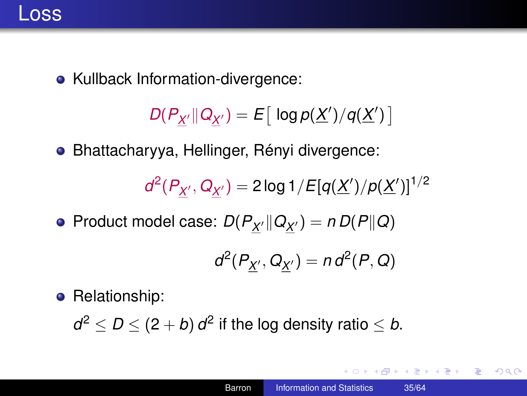

• Kullback Information-divergence:

 $D(P_{\underline{X}^{\prime}} \| Q_{\underline{X}^{\prime}}) = E\big[ \log p(\underline{X}^{\prime}) / q(\underline{X}^{\prime}) \big]$ 

Bhattacharyya, Hellinger, Rényi divergence:

$$
d^2(P_{\underline{X}'}, Q_{\underline{X}'}) = 2 \log 1 / E[q(\underline{X}')/p(\underline{X}')]^{1/2}
$$

 $\mathsf{Product}\ \mathsf{model}\ \mathsf{case}\colon D(P_{\underline{X}'}\|Q_{\underline{X}'} )=n\,D(P\|Q)$ 

$$
d^2(P_{\underline{X}'}, Q_{\underline{X}'}) = n d^2(P, Q)
$$

**•** Relationship:

 $d^2 \le D \le (2 + b) d^2$  if the log density ratio  $\le b$ .

イロト イ伊 トイヨ トイヨ トー

 $E = \Omega Q$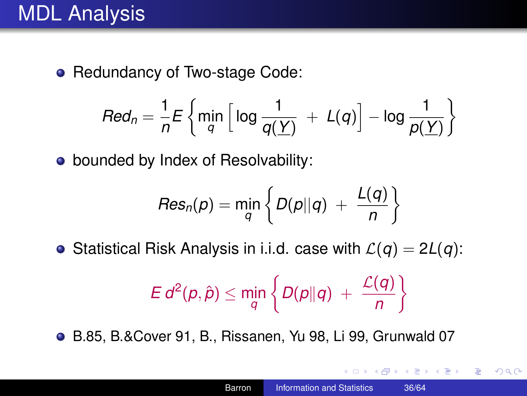• Redundancy of Two-stage Code:

$$
Red_n = \frac{1}{n} E \left\{ \min_{q} \left[ \log \frac{1}{q(\underline{Y})} + L(q) \right] - \log \frac{1}{p(\underline{Y})} \right\}
$$

• bounded by Index of Resolvability:

$$
\mathit{Res}_n(p) = \min_q \left\{ D(p||q) ~+~ \frac{L(q)}{n} \right\}
$$

• Statistical Risk Analysis in i.i.d. case with  $\mathcal{L}(q) = 2L(q)$ :

$$
E d^2(p,\hat{p}) \leq \min_q \left\{ D(p\|q) + \frac{\mathcal{L}(q)}{n} \right\}
$$

B.85, B.&Cover 91, B., Rissanen, Yu 98, Li 99, Grunwald 07

4 0 8

K 何 ▶ K ヨ ▶ K ヨ ▶ ...

B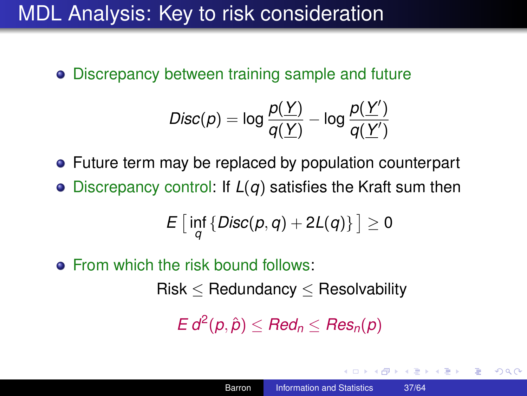### MDL Analysis: Key to risk consideration

Discrepancy between training sample and future

$$
\mathsf{Disc}(p) = \log \frac{p(\underline{Y})}{q(\underline{Y})} - \log \frac{p(\underline{Y}')}{q(\underline{Y}')}
$$

• Future term may be replaced by population counterpart

Discrepancy control: If *L*(*q*) satisfies the Kraft sum then

$$
E\left[\inf_q\left\{\mathsf{Disc}(p,q)+2L(q)\right\}\right]\geq 0
$$

**•** From which the risk bound follows:

 $Risk < Redundancy < Resolvability$ 

 $E d^2(p, \hat{p}) \leq Red_n \leq Res_n(p)$ 

K 何 ▶ K ヨ ▶ K ヨ ▶ ...

<span id="page-36-0"></span>B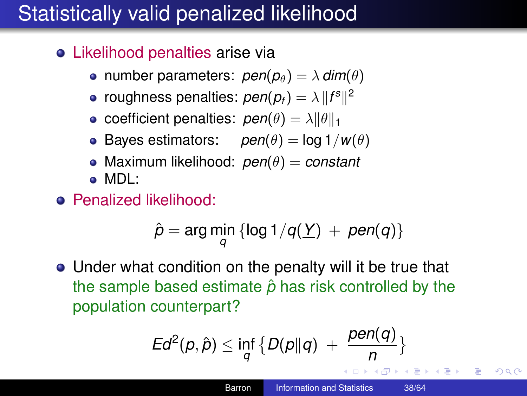# Statistically valid penalized likelihood

- Likelihood penalties arise via
	- **•** number parameters:  $pen(p_{\theta}) = \lambda \, dim(\theta)$
	- roughness penalties:  $pen(p_f) = \lambda \, \|f^s \|^2$
	- **•** coefficient penalties:  $pen(\theta) = \lambda ||\theta||_1$
	- Bayes estimators:  $pen(\theta) = log 1/w(\theta)$
	- Maximum likelihood: *pen*(θ) = *constant*
	- MDL:
- **•** Penalized likelihood:

$$
\hat{p} = \arg\min_q \left\{ \log 1/q(\underline{Y})\ +\ pen(q) \right\}
$$

Under what condition on the penalty will it be true that the sample based estimate  $\hat{p}$  has risk controlled by the population counterpart?

$$
Ed^2(p,\hat{p}) \le \inf_q \big\{ D(p\|q) \; + \; \frac{pen(q)}{n} \big\}
$$

B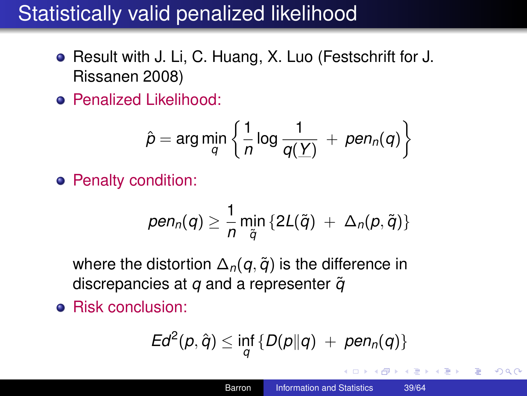### Statistically valid penalized likelihood

- Result with J. Li, C. Huang, X. Luo (Festschrift for J. Rissanen 2008)
- Penalized Likelihood:

$$
\hat{p} = \arg\min_q \left\{ \frac{1}{n} \log \frac{1}{q(\underline{Y})} + \textit{pen}_n(q) \right\}
$$

**•** Penalty condition:

$$
pen_n(q) \geq \frac{1}{n} \min_{\tilde{q}} \{ 2L(\tilde{q}) + \Delta_n(p, \tilde{q}) \}
$$

where the distortion  $\Delta_n(q, \tilde{q})$  is the difference in discrepancies at *q* and a representer  $\tilde{q}$ 

**•** Risk conclusion:

$$
Ed^2(p,\hat{q}) \le \inf_q \{D(p||q) + pen_n(q)\}\
$$

<span id="page-38-0"></span>K 何 ▶ K ヨ ▶ K ヨ ▶ ...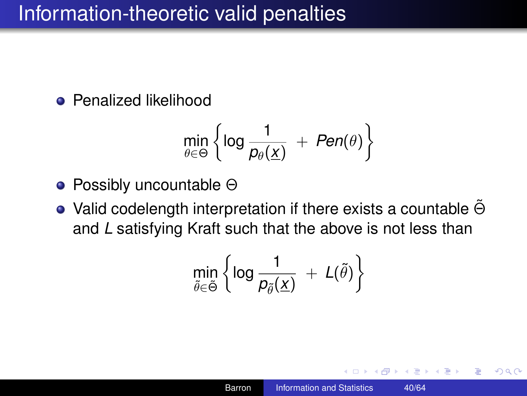### Information-theoretic valid penalties

**•** Penalized likelihood

$$
\min_{\theta \in \Theta} \left\{ \log \frac{1}{p_{\theta}(\underline{x})} \ + \ Pen(\theta) \right\}
$$

- Possibly uncountable Θ
- Valid codelength interpretation if there exists a countable  $\Theta$ and *L* satisfying Kraft such that the above is not less than

$$
\min_{\tilde{\theta}\in\tilde{\Theta}}\left\{\log\frac{1}{\rho_{\tilde{\theta}}(\underline{x})}\ +\ L(\tilde{\theta})\right\}
$$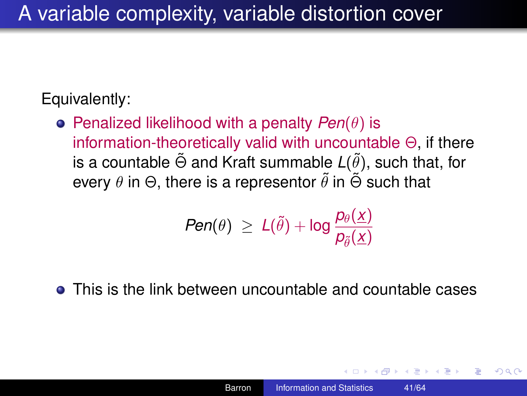### Equivalently:

Penalized likelihood with a penalty *Pen*(θ) is information-theoretically valid with uncountable  $\Theta$ , if there is a countable  $\tilde{\Theta}$  and Kraft summable  $L(\tilde{\theta})$ , such that, for every  $\theta$  in  $\Theta$ , there is a representor  $\tilde{\theta}$  in  $\tilde{\Theta}$  such that

$$
\textit{Pen}(\theta) \ \geq \ L(\tilde{\theta}) + \log \frac{p_{\theta}(\underline{x})}{p_{\tilde{\theta}}(\underline{x})}
$$

• This is the link between uncountable and countable cases

 $290$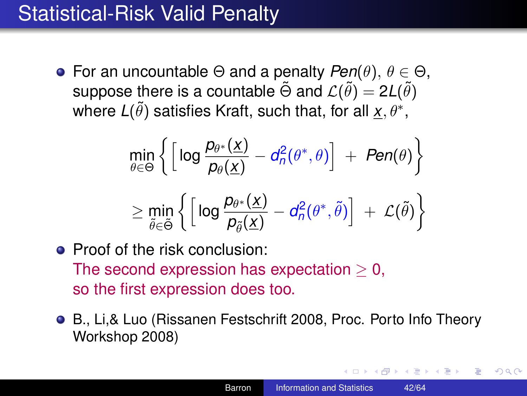### Statistical-Risk Valid Penalty

**•** For an uncountable  $\Theta$  and a penalty  $\text{Pen}(\theta)$ ,  $\theta \in \Theta$ , suppose there is a countable  $\tilde{\Theta}$  and  $\mathcal{L}(\tilde{\theta}) = 2L(\tilde{\theta})$ where  $L(\tilde{\theta})$  satisfies Kraft, such that, for all  $\underline{x}, \theta^*,$ 

$$
\min_{\theta \in \Theta} \left\{ \left[ \log \frac{p_{\theta^*}(\underline{x})}{p_{\theta}(\underline{x})} - d_n^2(\theta^*, \theta) \right] + Pen(\theta) \right\}
$$
\n
$$
\geq \min_{\tilde{\theta} \in \tilde{\Theta}} \left\{ \left[ \log \frac{p_{\theta^*}(\underline{x})}{p_{\tilde{\theta}}(\underline{x})} - d_n^2(\theta^*, \tilde{\theta}) \right] + \mathcal{L}(\tilde{\theta}) \right\}
$$

- Proof of the risk conclusion: The second expression has expectation  $\geq 0$ , so the first expression does too.
- B., Li,& Luo (Rissanen Festschrift 2008, Proc. Porto Info Theory Workshop 2008)

**K ロ ト K 何 ト K ヨ ト K ヨ ト**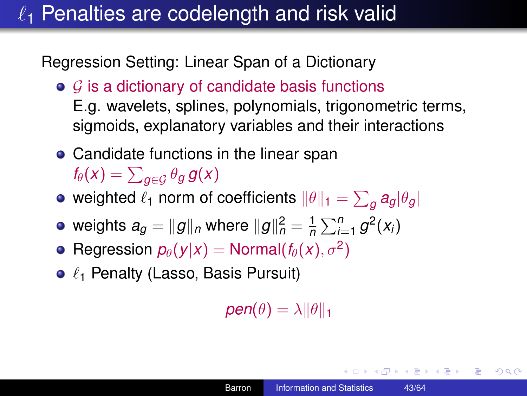# $\ell_1$  Penalties are codelength and risk valid

Regression Setting: Linear Span of a Dictionary

- $\bullet$  G is a dictionary of candidate basis functions E.g. wavelets, splines, polynomials, trigonometric terms, sigmoids, explanatory variables and their interactions
- Candidate functions in the linear span  $f_{\theta}(x) = \sum_{\mathcal{g} \in \mathcal{G}} \theta_{\mathcal{g}} \, \mathcal{g}(x)$
- weighted  $\ell_1$  norm of coefficients  $\|\theta\|_1 = \sum_g a_g |\theta_g|$
- weights  $a_{g} = \|g\|_{\textit{n}}$  where  $\|g\|_{\textit{n}}^2 = \frac{1}{\textit{n}}$  $\frac{1}{n}\sum_{i=1}^{n}g^{2}(x_{i})$
- $\mathsf{Regression}\; p_{\theta}(\mathsf{y}|\mathsf{x}) = \mathsf{Normal}(f_{\theta}(\mathsf{x}), \sigma^2)$
- $\bullet$   $\ell_1$  Penalty (Lasso, Basis Pursuit)

 $pen(\theta) = \lambda ||\theta||_1$ 

イロト イ伊 トイヨ トイヨ トー

語り  $200$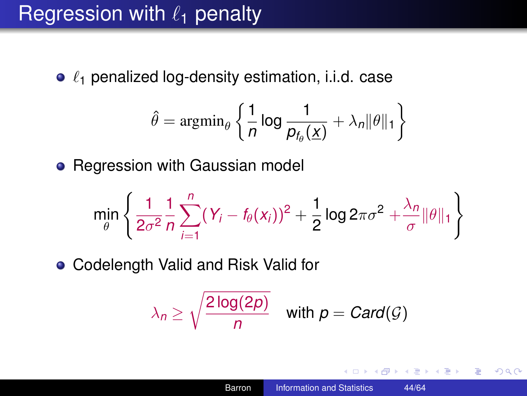### Regression with  $\ell_1$  penalty

 $\bullet$   $\ell_1$  penalized log-density estimation, i.i.d. case

$$
\hat{\theta} = \operatorname{argmin}_{\theta} \left\{ \frac{1}{n} \log \frac{1}{p_{f_{\theta}}(\underline{x})} + \lambda_n ||\theta||_1 \right\}
$$

• Regression with Gaussian model

$$
\min_{\theta} \left\{ \frac{1}{2\sigma^2} \frac{1}{n} \sum_{i=1}^n (Y_i - f_{\theta}(x_i))^2 + \frac{1}{2} \log 2\pi \sigma^2 + \frac{\lambda_n}{\sigma} \|\theta\|_1 \right\}
$$

Codelength Valid and Risk Valid for

$$
\lambda_n \geq \sqrt{\frac{2\log(2p)}{n}} \quad \text{with } p = \text{Card}(\mathcal{G})
$$

4 重っ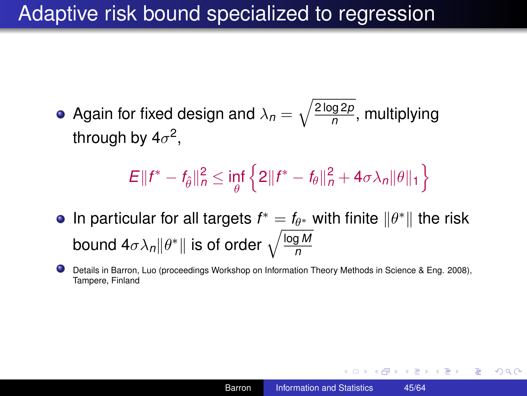### Adaptive risk bound specialized to regression

Again for fixed design and  $\lambda_n = \sqrt{\frac{2 \log 2p}{n}}$ *n* , multiplying through by 4 $\sigma^2$ ,

$$
E||f^* - f_{\hat{\theta}}||_n^2 \le \inf_{\theta} \left\{2||f^* - f_{\theta}||_n^2 + 4\sigma\lambda_n||\theta||_1\right\}
$$

- In particular for all targets  $f^* = f_{\theta^*}$  with finite  $\|\theta^*\|$  the risk bound 4 $\sigma \lambda_{n}\|\theta^*\|$  is of order  $\sqrt{\frac{\log M}{n}}$ *n*
- 0 Details in Barron, Luo (proceedings Workshop on Information Theory Methods in Science & Eng. 2008), Tampere, Finland

**K ロ ▶ K 何 ▶ K ヨ ▶ K ヨ ▶** 

÷.  $200$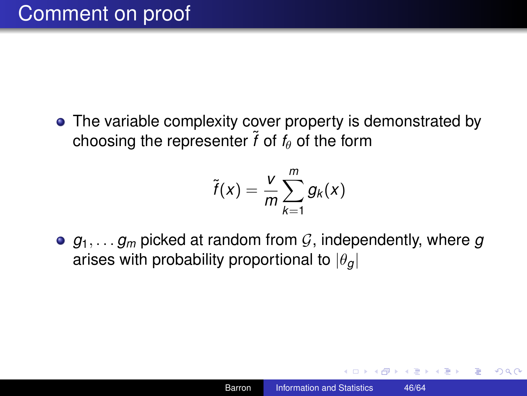• The variable complexity cover property is demonstrated by choosing the representer  $\tilde{f}$  of  $f_{\theta}$  of the form

$$
\tilde{f}(x) = \frac{v}{m} \sum_{k=1}^{m} g_k(x)
$$

•  $q_1, \ldots, q_m$  picked at random from  $G$ , independently, where  $q$ arises with probability proportional to  $|\theta_{q}|$ 

 $\langle \oplus \rangle$  >  $\langle \oplus \rangle$  >  $\langle \oplus \rangle$ 

B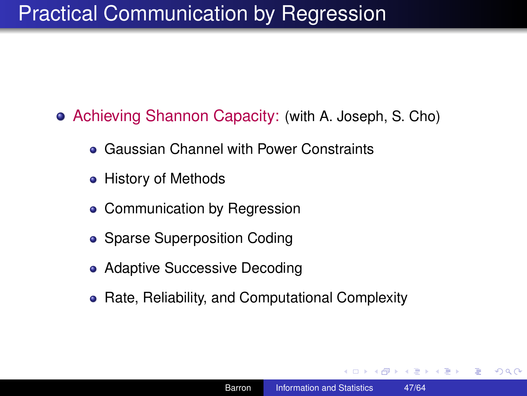# Practical Communication by Regression

Achieving Shannon Capacity: (with A. Joseph, S. Cho)

- Gaussian Channel with Power Constraints
- History of Methods
- Communication by Regression
- Sparse Superposition Coding
- Adaptive Successive Decoding
- Rate, Reliability, and Computational Complexity

K 何 ▶ K ヨ ▶ K ヨ ▶ ...

<span id="page-46-0"></span>ミー  $2Q$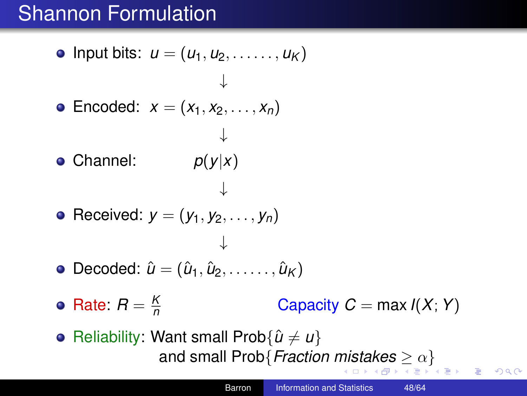# Shannon Formulation

\n- Input bits: 
$$
u = (u_1, u_2, \ldots, u_K)
$$
\n- Encoded:  $x = (x_1, x_2, \ldots, x_n)$
\n- Channel:  $p(y|x)$
\n- Received:  $y = (y_1, y_2, \ldots, y_n)$
\n- Decoded:  $\hat{u} = (\hat{u}_1, \hat{u}_2, \ldots, \hat{u}_K)$
\n- Rate:  $R = \frac{K}{n}$  Capacity  $C = \max I(X)$
\n- Reliability: What small Prob $\{\hat{u} \neq u\}$  and small Prob $\{Fraction \, mistakes \geq \alpha\}$
\n

<span id="page-47-0"></span>重。  $299$ 

 $max I(X; Y)$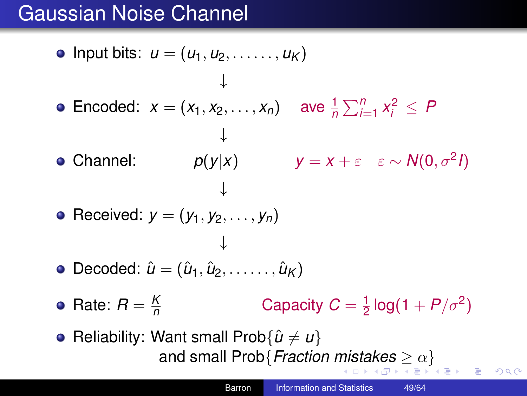# Gaussian Noise Channel

\n- \n • Input bits: \n 
$$
u = (u_1, u_2, \ldots, u_K)
$$
\n $\downarrow$ \n
\n- \n •  $E(\text{mod} \cdot \mathbf{x}) = (x_1, x_2, \ldots, x_n)$ \n $\downarrow$ \n
\n- \n •  $p(y|x)$ \n $y = x + \varepsilon \quad \varepsilon \sim N(0, \sigma^2 I)$ \n $\downarrow$ \n
\n- \n •  $E(\text{mod} \cdot \mathbf{x}) = (y_1, y_2, \ldots, y_n)$ \n $\downarrow$ \n
\n- \n •  $D = \text{mod} \cdot \hat{u} = (u_1, u_2, \ldots, u_K)$ \n
\n- \n •  $E(\text{mod} \cdot \mathbf{x}) = \frac{k}{n}$ \n $E(\text{mod} \cdot \mathbf{x}) = \frac{k}{n}$ \n
\n- \n •  $E(\text{mod} \cdot \mathbf{x}) = \frac{k}{n}$ \n $E(\text{mod} \cdot \mathbf{x}) = \frac{k}{n}$ \n $E(\text{mod} \cdot \mathbf{x}) = \frac{k}{n}$ \n $E(\text{mod} \cdot \mathbf{x}) = \frac{k}{n}$ \n $E(\text{mod} \cdot \mathbf{x}) = \frac{k}{n}$ \n $E(\text{mod} \cdot \mathbf{x}) = \frac{k}{n}$ \n $E(\text{mod} \cdot \mathbf{x}) = \frac{k}{n}$ \n $E(\text{mod} \cdot \mathbf{x}) = \frac{k}{n}$ \n $E(\text{mod} \cdot \mathbf{x}) = \frac{k}{n}$ \n $E(\text{mod} \cdot \mathbf{x}) = \frac{k}{n}$ \n $E(\text{mod} \cdot \mathbf{x}) = \frac{k}{n}$ \n $E(\text{mod} \cdot \mathbf{x}) = \frac{k}{n}$ \n $E(\text{mod} \cdot \mathbf{x}) = \frac{k}{n}$ \n $E(\text{mod} \cdot \mathbf{x}) = \$

<span id="page-48-0"></span> $299$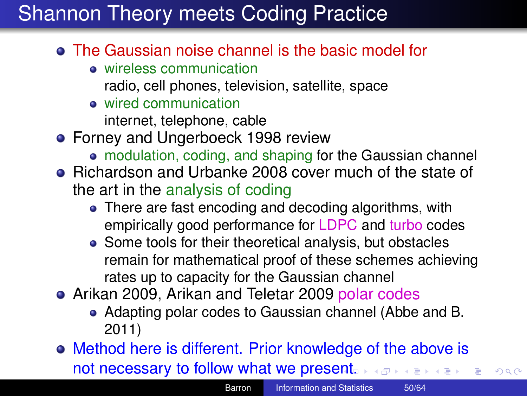# Shannon Theory meets Coding Practice

- The Gaussian noise channel is the basic model for
	- **•** wireless communication
		- radio, cell phones, television, satellite, space
	- o wired communication

internet, telephone, cable

- **•** Forney and Ungerboeck 1998 review
	- modulation, coding, and shaping for the Gaussian channel
- Richardson and Urbanke 2008 cover much of the state of the art in the analysis of coding
	- There are fast encoding and decoding algorithms, with empirically good performance for LDPC and turbo codes
	- Some tools for their theoretical analysis, but obstacles remain for mathematical proof of these schemes achieving rates up to capacity for the Gaussian channel
- Arikan 2009, Arikan and Teletar 2009 polar codes
	- Adapting polar codes to Gaussian channel (Abbe and B. 2011)
- Method here is different. Prior knowledge of the above is not necessary to follow what we pres[ent](#page-48-0).

<span id="page-49-0"></span> $298$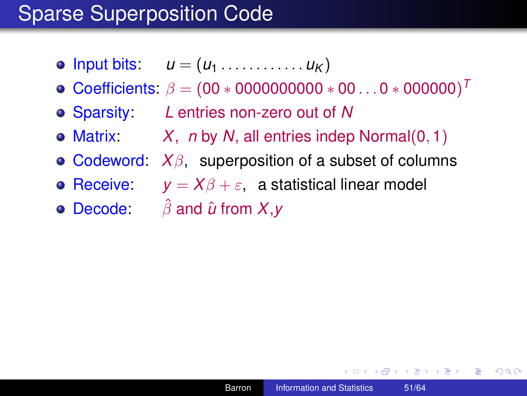- $\bullet$  lnput bits:  $u = (u_1, \ldots, u_K)$
- Coefficients:  $\beta = (00 * 000000000 * 00...0 * 000000)^T$
- Sparsity: *L* entries non-zero out of *N*
- Matrix: *X*, *n* by *N*, all entries indep Normal(0, 1)
- Codeword: *X*β, superposition of a subset of columns
- **Receive:**  $y = X\beta + \varepsilon$ , a statistical linear model
- Decode: βˆ and *u*ˆ from *X*,*y*

 $\left\{ \left\vert \left\{ \mathbf{P}\right\} \right\vert \times \left\{ \left\vert \mathbf{P}\right\vert \right\} \right\}$  and  $\left\{ \left\vert \mathbf{P}\right\vert \right\}$ 

÷.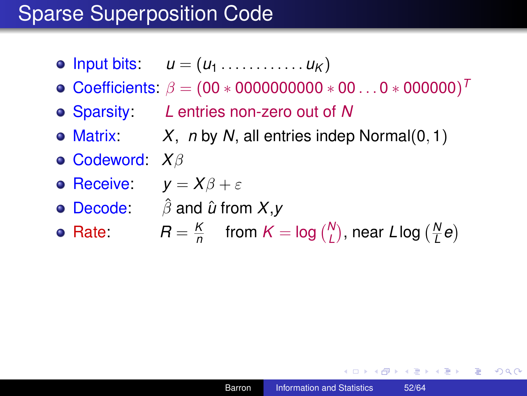- $\bullet$  lnput bits:  $u = (u_1, \ldots, u_K)$
- Coefficients:  $\beta = (00 * 000000000 * 00...0 * 000000)^T$
- Sparsity: *L* entries non-zero out of *N*
- Matrix: *X*, *n* by *N*, all entries indep Normal(0, 1)
- Codeword: *X*β
- **P** Receive:  $v = X\beta + \varepsilon$
- Decode: βˆ and *u*ˆ from *X*,*y*
- Rate:  $R = \frac{K}{n}$  $\frac{K}{n}$  from  $K = \log {N \choose L}$ , near *L* log  $({N \over L})$ *L e*

K 何 ▶ K ヨ ▶ K ヨ ▶

÷.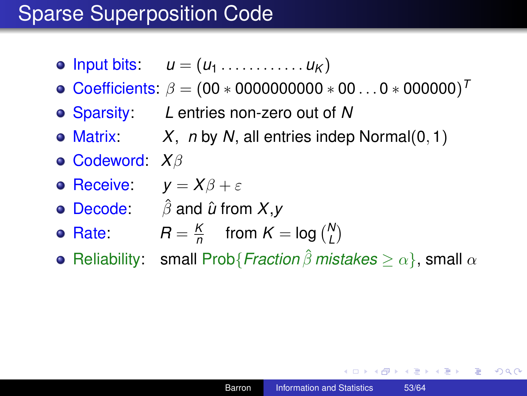- $\bullet$  lnput bits:  $u = (u_1, \ldots, u_K)$
- $\textsf{Coefficients: } \beta = (00*000000000*00...0*000000)^T$
- Sparsity: *L* entries non-zero out of *N*
- Matrix: *X*, *n* by *N*, all entries indep Normal(0, 1)
- Codeword: *X*β
- **e** Receive:  $v = X\beta + \varepsilon$
- Decode: βˆ and *u*ˆ from *X*,*y*
- Rate:  $R = \frac{R}{n}$  $\frac{K}{n}$  from  $K = \log {N \choose L}$
- **•** Reliability: small Prob{*Fraction*  $\hat{\beta}$  *mistakes*  $\geq \alpha$ }, small  $\alpha$

**K ロ ▶ K 何 ▶ K ヨ ▶ K ヨ ▶** 

÷.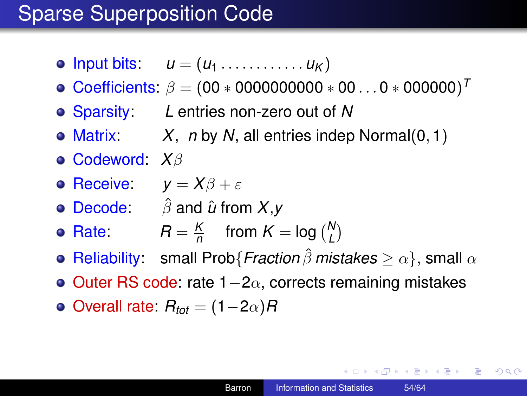- $\bullet$  lnput bits:  $u = (u_1, \ldots, u_K)$
- $\textsf{Coefficients: } \beta = (00*000000000*00...0*000000)^T$
- Sparsity: *L* entries non-zero out of *N*
- Matrix: *X*, *n* by *N*, all entries indep Normal(0, 1)
- Codeword: *X*β
- **Receive:**  $v = X\beta + \varepsilon$
- Decode: βˆ and *u*ˆ from *X*,*y*
- Rate:  $R = \frac{R}{n}$  $\frac{K}{n}$  from  $K = \log {N \choose L}$
- **Reliability:** small Prob{*Fraction*  $\hat{\beta}$  *mistakes*  $\geq \alpha$ }, small  $\alpha$
- Outer RS code: rate  $1-2\alpha$ , corrects remaining mistakes
- $\bullet$  Overall rate:  $R_{tot} = (1-2\alpha)R$

イロト イ押 トイヨ トイヨ トーヨー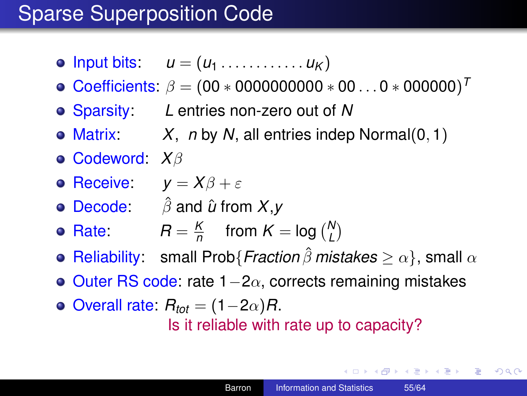- $\bullet$  lnput bits:  $u = (u_1, \ldots, u_K)$
- $\textsf{Coefficients: } \beta = (00*000000000*00...0*000000)^T$
- Sparsity: *L* entries non-zero out of *N*
- Matrix: *X*, *n* by *N*, all entries indep Normal(0, 1)
- Codeword: *X*β
- **Receive:**  $v = X\beta + \varepsilon$
- Decode: βˆ and *u*ˆ from *X*,*y*
- Rate:  $R = \frac{K}{n}$  $\frac{K}{n}$  from  $K = \log {N \choose L}$
- **o** Reliability: small Prob{*Fraction*  $\hat{\beta}$  *mistakes*  $\geq \alpha$ }, small  $\alpha$
- $\bullet$  Outer RS code: rate 1–2α, corrects remaining mistakes
- $\bullet$  Overall rate:  $R_{tot} = (1-2\alpha)R$ . Is it reliable with rate up to capacity?

イロト イ押 トイヨ トイヨ トーヨー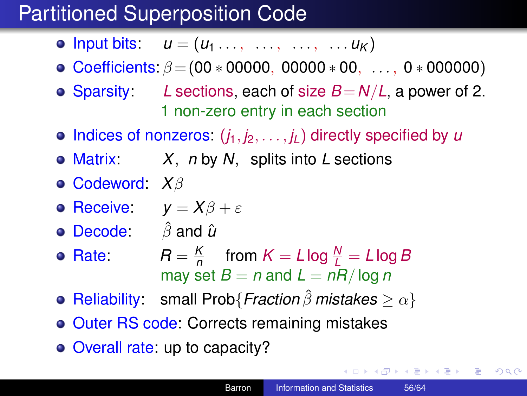# Partitioned Superposition Code

- Input bits:  $u = (u_1, \ldots, \ldots, \ldots, \ldots, u_K)$
- Coefficients:  $\beta = (00 * 00000, 00000 * 00, \ldots, 0 * 000000)$
- Sparsity: *L* sections, each of size  $B = N/L$ , a power of 2. 1 non-zero entry in each section
- $\bullet$  Indices of nonzeros:  $(i_1, i_2, \ldots, i_l)$  directly specified by *u*
- Matrix: *X*, *n* by *N*, splits into *L* sections
- Codeword: *X*β
- **o** Receive:  $y = X\beta + \varepsilon$
- **Decode:**  $\hat{\beta}$  and  $\hat{\mu}$
- **•** Rate: *K*  $\frac{K}{n}$  from  $K = L \log \frac{N}{L} = L \log B$ may set  $B = n$  and  $L = nR/\log n$
- Reliability: small Prob{*Fraction* βˆ *mistakes* ≥ α}
- **o** Outer RS code: Corrects remaining mistakes
- Overall rate: up to capacity?

イロト イ押 トイヨ トイヨ トーヨー

 $2990$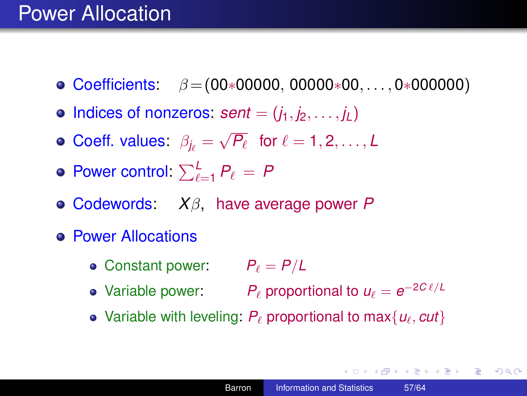### Power Allocation

- $\bullet$  Coefficients:  $\beta = (00*00000, 00000*00, \ldots, 0*000000)$
- $\bullet$  Indices of nonzeros: *sent* =  $(i_1, i_2, \ldots, i_L)$
- Coeff. values:  $\beta_{j_\ell} =$ √  $P_\ell$  for  $\ell = 1, 2, \ldots, L$
- Power control:  $\sum_{\ell=1}^{L} P_{\ell} = P$
- Codewords: *X*β, have average power *P*
- **e** Power Allocations
	- Constant power:  $P_\ell = P/L$
	- Variable power:  $P_\ell$  proportional to  $u_\ell = e^{-2C\ell/L}$
	- Variable with leveling:  $P_\ell$  proportional to max $\{u_\ell, cut\}$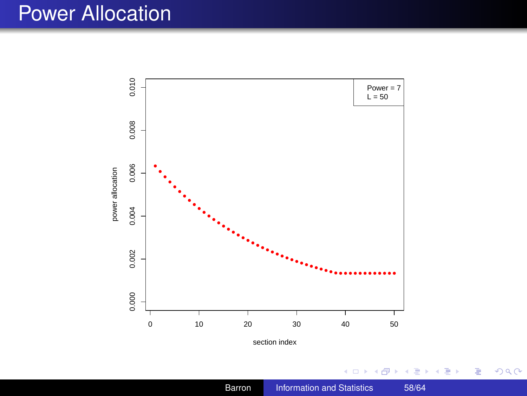### Power Allocation



section index

 $\leftarrow$   $\Box$ 包

ä,  $\,$ × 4 重→

Ė  $\bar{\rm p}$  重

 $299$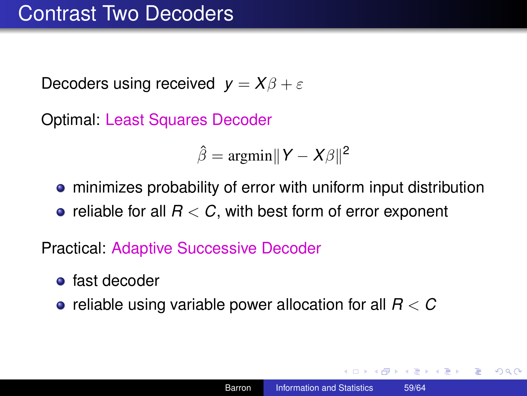Decoders using received  $y = X\beta + \varepsilon$ 

Optimal: Least Squares Decoder

 $\hat{\beta} = \text{argmin} \|Y - X\beta\|^2$ 

minimizes probability of error with uniform input distribution • reliable for all  $R < C$ , with best form of error exponent

Practical: Adaptive Successive Decoder

- **o** fast decoder
- reliable using variable power allocation for all *R* < *C*

K 何 ▶ K ヨ ▶ K ヨ ▶

 $2990$ ÷.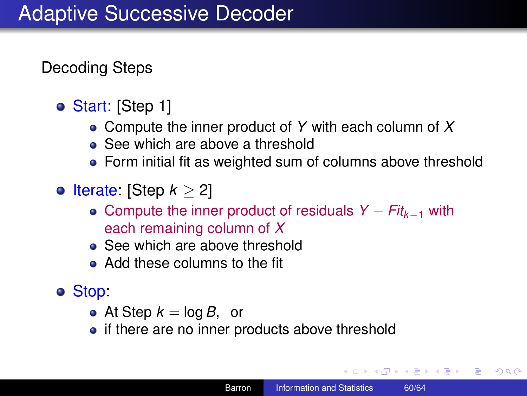Decoding Steps

- Start: [Step 1]
	- Compute the inner product of *Y* with each column of *X*
	- See which are above a threshold
	- Form initial fit as weighted sum of columns above threshold
- $\bullet$  lterate: [Step  $k > 2$ ]
	- Compute the inner product of residuals *Y* − *Fitk*−<sup>1</sup> with each remaining column of *X*
	- See which are above threshold
	- Add these columns to the fit
- Stop:
	- At Step  $k = \log B$ , or
	- if there are no inner products above threshold

イロト イ押 トイヨ トイヨ トー

B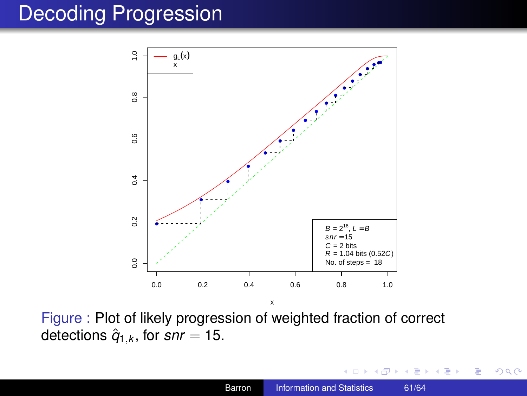### Decoding Progression



Figure : Plot of likely progression of weighted fraction of correct detections  $\hat{q}_{1,k}$ , for  $snr = 15$ .

 $290$ 

ă

B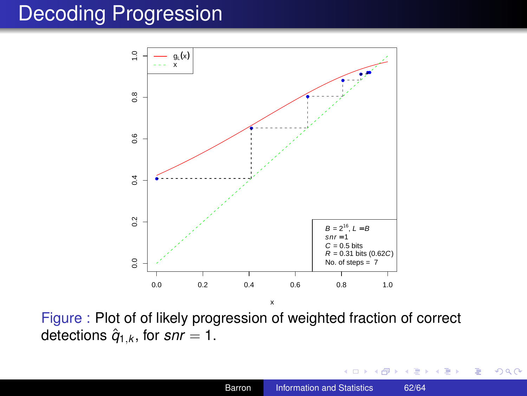### Decoding Progression



Figure : Plot of of likely progression of weighted fraction of correct detections  $\hat{q}_{1,k}$ , for  $snr = 1$ .

4日)

一句 × E  $\mathbf{p}$ B  $290$ 

<span id="page-61-0"></span>ă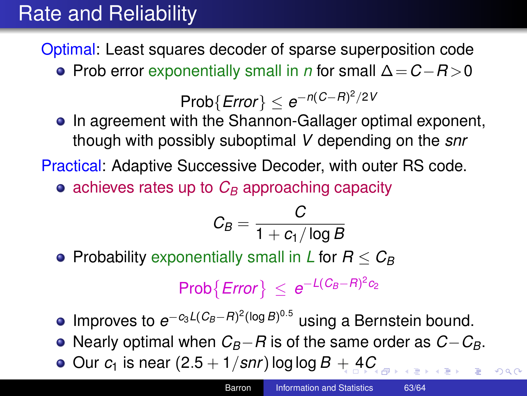# Rate and Reliability

Optimal: Least squares decoder of sparse superposition code

Prob error exponentially small in *n* for small ∆=*C*−*R* >0

 $\mathsf{Prob}\{\mathsf{Error}\} \leq e^{-n(C-R)^2/2V}$ 

• In agreement with the Shannon-Gallager optimal exponent, though with possibly suboptimal *V* depending on the *snr*

Practical: Adaptive Successive Decoder, with outer RS code.

 $\bullet$  achieves rates up to  $C_B$  approaching capacity

$$
C_B = \frac{C}{1 + c_1/\log B}
$$

• Probability exponentially small in *L* for  $R \leq C_B$ 

 $\mathsf{Prob}\{\mathsf{Error}\}\leq e^{-L(C_B-R)^2c_2}$ 

- Improves to  $e^{-c_3L(C_B-R)^2(\log B)^{0.5}}$  using a Bernstein bound.
- Nearly optimal when *CB*−*R* is of the same order as *C*−*CB*.
- $\bullet$  Our  $c_1$  is near  $(2.5 + 1/snr)$  $(2.5 + 1/snr)$  $(2.5 + 1/snr)$  log log  $B + 4C$  $B + 4C$

 $290$